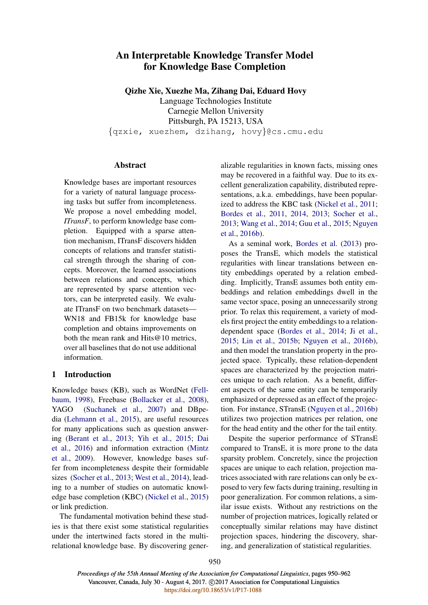# An Interpretable Knowledge Transfer Model for Knowledge Base Completion

Qizhe Xie, Xuezhe Ma, Zihang Dai, Eduard Hovy

Language Technologies Institute Carnegie Mellon University Pittsburgh, PA 15213, USA {qzxie, xuezhem, dzihang, hovy}@cs.cmu.edu

# Abstract

Knowledge bases are important resources for a variety of natural language processing tasks but suffer from incompleteness. We propose a novel embedding model, *ITransF*, to perform knowledge base completion. Equipped with a sparse attention mechanism, ITransF discovers hidden concepts of relations and transfer statistical strength through the sharing of concepts. Moreover, the learned associations between relations and concepts, which are represented by sparse attention vectors, can be interpreted easily. We evaluate ITransF on two benchmark datasets— WN18 and FB15k for knowledge base completion and obtains improvements on both the mean rank and Hits@10 metrics, over all baselines that do not use additional information.

# 1 Introduction

Knowledge bases (KB), such as WordNet (Fellbaum, 1998), Freebase (Bollacker et al., 2008), YAGO (Suchanek et al., 2007) and DBpedia (Lehmann et al., 2015), are useful resources for many applications such as question answering (Berant et al., 2013; Yih et al., 2015; Dai et al., 2016) and information extraction (Mintz et al., 2009). However, knowledge bases suffer from incompleteness despite their formidable sizes (Socher et al., 2013; West et al., 2014), leading to a number of studies on automatic knowledge base completion (KBC) (Nickel et al., 2015) or link prediction.

The fundamental motivation behind these studies is that there exist some statistical regularities under the intertwined facts stored in the multirelational knowledge base. By discovering generalizable regularities in known facts, missing ones may be recovered in a faithful way. Due to its excellent generalization capability, distributed representations, a.k.a. embeddings, have been popularized to address the KBC task (Nickel et al., 2011; Bordes et al., 2011, 2014, 2013; Socher et al., 2013; Wang et al., 2014; Guu et al., 2015; Nguyen et al., 2016b).

As a seminal work, Bordes et al. (2013) proposes the TransE, which models the statistical regularities with linear translations between entity embeddings operated by a relation embedding. Implicitly, TransE assumes both entity embeddings and relation embeddings dwell in the same vector space, posing an unnecessarily strong prior. To relax this requirement, a variety of models first project the entity embeddings to a relationdependent space (Bordes et al., 2014; Ji et al., 2015; Lin et al., 2015b; Nguyen et al., 2016b), and then model the translation property in the projected space. Typically, these relation-dependent spaces are characterized by the projection matrices unique to each relation. As a benefit, different aspects of the same entity can be temporarily emphasized or depressed as an effect of the projection. For instance, STransE (Nguyen et al., 2016b) utilizes two projection matrices per relation, one for the head entity and the other for the tail entity.

Despite the superior performance of STransE compared to TransE, it is more prone to the data sparsity problem. Concretely, since the projection spaces are unique to each relation, projection matrices associated with rare relations can only be exposed to very few facts during training, resulting in poor generalization. For common relations, a similar issue exists. Without any restrictions on the number of projection matrices, logically related or conceptually similar relations may have distinct projection spaces, hindering the discovery, sharing, and generalization of statistical regularities.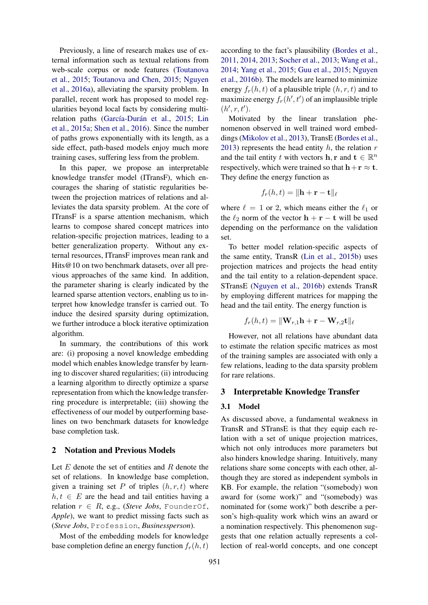Previously, a line of research makes use of external information such as textual relations from web-scale corpus or node features (Toutanova et al., 2015; Toutanova and Chen, 2015; Nguyen et al., 2016a), alleviating the sparsity problem. In parallel, recent work has proposed to model regularities beyond local facts by considering multirelation paths (García-Durán et al., 2015; Lin et al., 2015a; Shen et al., 2016). Since the number of paths grows exponentially with its length, as a side effect, path-based models enjoy much more training cases, suffering less from the problem.

In this paper, we propose an interpretable knowledge transfer model (ITransF), which encourages the sharing of statistic regularities between the projection matrices of relations and alleviates the data sparsity problem. At the core of ITransF is a sparse attention mechanism, which learns to compose shared concept matrices into relation-specific projection matrices, leading to a better generalization property. Without any external resources, ITransF improves mean rank and Hits@10 on two benchmark datasets, over all previous approaches of the same kind. In addition, the parameter sharing is clearly indicated by the learned sparse attention vectors, enabling us to interpret how knowledge transfer is carried out. To induce the desired sparsity during optimization, we further introduce a block iterative optimization algorithm.

In summary, the contributions of this work are: (i) proposing a novel knowledge embedding model which enables knowledge transfer by learning to discover shared regularities; (ii) introducing a learning algorithm to directly optimize a sparse representation from which the knowledge transferring procedure is interpretable; (iii) showing the effectiveness of our model by outperforming baselines on two benchmark datasets for knowledge base completion task.

#### 2 Notation and Previous Models

Let  $E$  denote the set of entities and  $R$  denote the set of relations. In knowledge base completion, given a training set P of triples  $(h, r, t)$  where  $h, t \in E$  are the head and tail entities having a relation  $r \in R$ , e.g., (*Steve Jobs*, FounderOf, *Apple*), we want to predict missing facts such as (*Steve Jobs*, Profession, *Businessperson*).

Most of the embedding models for knowledge base completion define an energy function  $f_r(h, t)$ 

according to the fact's plausibility (Bordes et al., 2011, 2014, 2013; Socher et al., 2013; Wang et al., 2014; Yang et al., 2015; Guu et al., 2015; Nguyen et al., 2016b). The models are learned to minimize energy  $f_r(h, t)$  of a plausible triple  $(h, r, t)$  and to maximize energy  $f_r(h', t')$  of an implausible triple  $(h', r, t').$ 

Motivated by the linear translation phenomenon observed in well trained word embeddings (Mikolov et al., 2013), TransE (Bordes et al., 2013) represents the head entity  $h$ , the relation  $r$ and the tail entity t with vectors **h**, **r** and **t**  $\in \mathbb{R}^n$ respectively, which were trained so that  $h+r \approx t$ . They define the energy function as

$$
f_r(h,t) = \|\mathbf{h} + \mathbf{r} - \mathbf{t}\|_{\ell}
$$

where  $\ell = 1$  or 2, which means either the  $\ell_1$  or the  $\ell_2$  norm of the vector  $h + r - t$  will be used depending on the performance on the validation set.

To better model relation-specific aspects of the same entity, TransR (Lin et al., 2015b) uses projection matrices and projects the head entity and the tail entity to a relation-dependent space. STransE (Nguyen et al., 2016b) extends TransR by employing different matrices for mapping the head and the tail entity. The energy function is

$$
f_r(h,t) = \|\mathbf{W}_{r,1}\mathbf{h} + \mathbf{r} - \mathbf{W}_{r,2}\mathbf{t}\|_{\ell}
$$

However, not all relations have abundant data to estimate the relation specific matrices as most of the training samples are associated with only a few relations, leading to the data sparsity problem for rare relations.

# 3 Interpretable Knowledge Transfer

### 3.1 Model

As discussed above, a fundamental weakness in TransR and STransE is that they equip each relation with a set of unique projection matrices, which not only introduces more parameters but also hinders knowledge sharing. Intuitively, many relations share some concepts with each other, although they are stored as independent symbols in KB. For example, the relation "(somebody) won award for (some work)" and "(somebody) was nominated for (some work)" both describe a person's high-quality work which wins an award or a nomination respectively. This phenomenon suggests that one relation actually represents a collection of real-world concepts, and one concept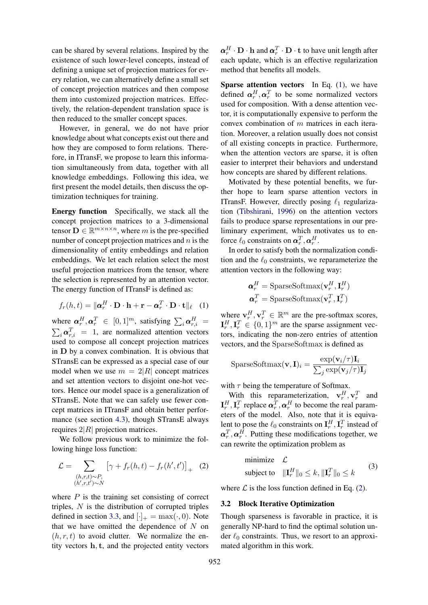can be shared by several relations. Inspired by the existence of such lower-level concepts, instead of defining a unique set of projection matrices for every relation, we can alternatively define a small set of concept projection matrices and then compose them into customized projection matrices. Effectively, the relation-dependent translation space is then reduced to the smaller concept spaces.

However, in general, we do not have prior knowledge about what concepts exist out there and how they are composed to form relations. Therefore, in ITransF, we propose to learn this information simultaneously from data, together with all knowledge embeddings. Following this idea, we first present the model details, then discuss the optimization techniques for training.

Energy function Specifically, we stack all the concept projection matrices to a 3-dimensional tensor  $\mathbf{D} \in \mathbb{R}^{m \times n \times n}$ , where m is the pre-specified number of concept projection matrices and  $n$  is the dimensionality of entity embeddings and relation embeddings. We let each relation select the most useful projection matrices from the tensor, where the selection is represented by an attention vector. The energy function of ITransF is defined as:

$$
f_r(h,t) = \|\mathbf{\alpha}_r^H \cdot \mathbf{D} \cdot \mathbf{h} + \mathbf{r} - \mathbf{\alpha}_r^T \cdot \mathbf{D} \cdot \mathbf{t}\|_{\ell} \quad (1)
$$

where  $\boldsymbol{\alpha}_r^H, \boldsymbol{\alpha}_r^T \in [0, 1]^m$ , satisfying  $\sum_i \boldsymbol{\alpha}_{r,i}^H =$ <br> $\sum_i \boldsymbol{\alpha}_{r,i}^T = 1$ , are normalized attention vectors  $i_{i} \alpha_{r,i}^{T}$  = 1, are normalized attention vectors used to compose all concept projection matrices in D by a convex combination. It is obvious that STransE can be expressed as a special case of our model when we use  $m = 2|R|$  concept matrices and set attention vectors to disjoint one-hot vectors. Hence our model space is a generalization of STransE. Note that we can safely use fewer concept matrices in ITransF and obtain better performance (see section 4.3), though STransE always requires  $2|R|$  projection matrices.

We follow previous work to minimize the following hinge loss function:

$$
\mathcal{L} = \sum_{\substack{(h,r,t)\sim P,\\(h',r,t')\sim N}} \left[\gamma + f_r(h,t) - f_r(h',t')\right]_+\tag{2}
$$

where  $P$  is the training set consisting of correct triples,  $N$  is the distribution of corrupted triples defined in section 3.3, and  $[\cdot]_+ = \max(\cdot, 0)$ . Note that we have omitted the dependence of  $N$  on  $(h, r, t)$  to avoid clutter. We normalize the entity vectors h, t, and the projected entity vectors

 $\boldsymbol{\alpha}_r^H \cdot \mathbf{D} \cdot \mathbf{h}$  and  $\boldsymbol{\alpha}_r^T \cdot \mathbf{D} \cdot \mathbf{t}$  to have unit length after each update, which is an effective regularization method that benefits all models.

Sparse attention vectors In Eq. (1), we have defined  $\boldsymbol{\alpha}_r^H$ ,  $\boldsymbol{\alpha}_r^T$  to be some normalized vectors used for composition. With a dense attention vector, it is computationally expensive to perform the convex combination of m matrices in each iteration. Moreover, a relation usually does not consist of all existing concepts in practice. Furthermore, when the attention vectors are sparse, it is often easier to interpret their behaviors and understand how concepts are shared by different relations.

Motivated by these potential benefits, we further hope to learn sparse attention vectors in ITransF. However, directly posing  $\ell_1$  regularization (Tibshirani, 1996) on the attention vectors fails to produce sparse representations in our preliminary experiment, which motivates us to enforce  $\ell_0$  constraints on  $\boldsymbol{\alpha}_r^T, \boldsymbol{\alpha}_r^H$ .

In order to satisfy both the normalization condition and the  $\ell_0$  constraints, we reparameterize the attention vectors in the following way:

$$
\mathbf{\alpha}_{r}^{H} = \text{SparseSoftmax}(\mathbf{v}_{r}^{H}, \mathbf{I}_{r}^{H})
$$

$$
\mathbf{\alpha}_{r}^{T} = \text{SparseSoftmax}(\mathbf{v}_{r}^{T}, \mathbf{I}_{r}^{T})
$$

where  $\mathbf{v}_r^H$ ,  $\mathbf{v}_r^T \in \mathbb{R}^m$  are the pre-softmax scores,  $\mathbf{I}_r^H, \mathbf{I}_r^T \in \{0,1\}^m$  are the sparse assignment vectors, indicating the non-zero entries of attention vectors, and the SparseSoftmax is defined as

$$
\text{SparseSoftmax}(\mathbf{v}, \mathbf{I})_i = \frac{\exp(\mathbf{v}_i / \tau) \mathbf{I}_i}{\sum_j \exp(\mathbf{v}_j / \tau) \mathbf{I}_j}
$$

with  $\tau$  being the temperature of Softmax.

With this reparameterization,  $\mathbf{v}_r^H$ ,  $\mathbf{v}_r^T$  and  $\mathbf{I}_r^H, \mathbf{I}_r^T$  replace  $\boldsymbol{\alpha}_r^T, \boldsymbol{\alpha}_r^H$  to become the real parameters of the model. Also, note that it is equivalent to pose the  $\ell_0$  constraints on  $\mathbf{I}_r^H, \mathbf{I}_r^T$  instead of  $\boldsymbol{\alpha}_r^T, \boldsymbol{\alpha}_r^H$ . Putting these modifications together, we can rewrite the optimization problem as

minimize 
$$
\mathcal{L}
$$
  
subject to  $||\mathbf{I}_r^H||_0 \le k, ||\mathbf{I}_r^T||_0 \le k$  (3)

where  $\mathcal L$  is the loss function defined in Eq. (2).

#### 3.2 Block Iterative Optimization

Though sparseness is favorable in practice, it is generally NP-hard to find the optimal solution under  $\ell_0$  constraints. Thus, we resort to an approximated algorithm in this work.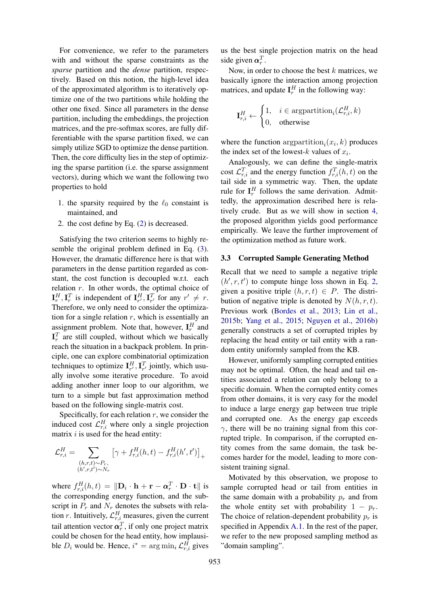For convenience, we refer to the parameters with and without the sparse constraints as the *sparse* partition and the *dense* partition, respectively. Based on this notion, the high-level idea of the approximated algorithm is to iteratively optimize one of the two partitions while holding the other one fixed. Since all parameters in the dense partition, including the embeddings, the projection matrices, and the pre-softmax scores, are fully differentiable with the sparse partition fixed, we can simply utilize SGD to optimize the dense partition. Then, the core difficulty lies in the step of optimizing the sparse partition (i.e. the sparse assignment vectors), during which we want the following two properties to hold

- 1. the sparsity required by the  $\ell_0$  constaint is maintained, and
- 2. the cost define by Eq. (2) is decreased.

Satisfying the two criterion seems to highly resemble the original problem defined in Eq. (3). However, the dramatic difference here is that with parameters in the dense partition regarded as constant, the cost function is decoupled w.r.t. each relation  $r$ . In other words, the optimal choice of  $\mathbf{I}_r^H, \mathbf{I}_r^T$  is independent of  $\mathbf{I}_{r'}^H, \mathbf{I}_{r'}^T$  for any  $r' \neq r$ . Therefore, we only need to consider the optimization for a single relation  $r$ , which is essentially an assignment problem. Note that, however,  $I_r^H$  and  $\mathbf{I}_r^T$  are still coupled, without which we basically reach the situation in a backpack problem. In principle, one can explore combinatorial optimization techniques to optimize  $\mathbf{I}_{r}^H$ ,  $\mathbf{I}_{r}^T$  jointly, which usually involve some iterative procedure. To avoid adding another inner loop to our algorithm, we turn to a simple but fast approximation method based on the following single-matrix cost.

Specifically, for each relation  $r$ , we consider the induced cost  $\mathcal{L}_{r,i}^H$  where only a single projection matrix  $i$  is used for the head entity:

$$
\mathcal{L}_{r,i}^H = \sum_{\substack{(h,r,t)\sim P_r,\\(h',r,t')\sim N_r}} \left[\gamma + f_{r,i}^H(h,t) - f_{r,i}^H(h',t')\right]_+
$$

where  $f_{r,i}^H(h,t) = \|\mathbf{D}_i \cdot \mathbf{h} + \mathbf{r} - \boldsymbol{\alpha}_r^T \cdot \mathbf{D} \cdot \mathbf{t}\|$  is the corresponding energy function, and the subscript in  $P_r$  and  $N_r$  denotes the subsets with relation r. Intuitively,  $\mathcal{L}_{r,i}^H$  measures, given the current tail attention vector  $\boldsymbol{\alpha}_r^T$ , if only one project matrix could be chosen for the head entity, how implausible  $D_i$  would be. Hence,  $i^* = \arg \min_i \mathcal{L}_{r,i}^H$  gives us the best single projection matrix on the head side given  $\boldsymbol{\alpha}_r^T$ .

Now, in order to choose the best  $k$  matrices, we basically ignore the interaction among projection matrices, and update  $I_r^H$  in the following way:

$$
\mathbf{I}_{r,i}^H \leftarrow \begin{cases} 1, & i \in \text{argpartition}_i(\mathcal{L}_{r,i}^H, k) \\ 0, & \text{otherwise} \end{cases}
$$

where the function  $\text{argpartition}_i(x_i, k)$  produces the index set of the lowest- $k$  values of  $x_i$ .

Analogously, we can define the single-matrix cost  $\mathcal{L}_{r,i}^T$  and the energy function  $f_{r,i}^T(h,t)$  on the tail side in a symmetric way. Then, the update rule for  $I_r^H$  follows the same derivation. Admittedly, the approximation described here is relatively crude. But as we will show in section 4, the proposed algorithm yields good performance empirically. We leave the further improvement of the optimization method as future work.

### 3.3 Corrupted Sample Generating Method

Recall that we need to sample a negative triple  $(h', r, t')$  to compute hinge loss shown in Eq. 2, given a positive triple  $(h, r, t) \in P$ . The distribution of negative triple is denoted by  $N(h, r, t)$ . Previous work (Bordes et al., 2013; Lin et al., 2015b; Yang et al., 2015; Nguyen et al., 2016b) generally constructs a set of corrupted triples by replacing the head entity or tail entity with a random entity uniformly sampled from the KB.

However, uniformly sampling corrupted entities may not be optimal. Often, the head and tail entities associated a relation can only belong to a specific domain. When the corrupted entity comes from other domains, it is very easy for the model to induce a large energy gap between true triple and corrupted one. As the energy gap exceeds  $\gamma$ , there will be no training signal from this corrupted triple. In comparison, if the corrupted entity comes from the same domain, the task becomes harder for the model, leading to more consistent training signal.

Motivated by this observation, we propose to sample corrupted head or tail from entities in the same domain with a probability  $p_r$  and from the whole entity set with probability  $1 - p_r$ . The choice of relation-dependent probability  $p_r$  is specified in Appendix A.1. In the rest of the paper, we refer to the new proposed sampling method as "domain sampling".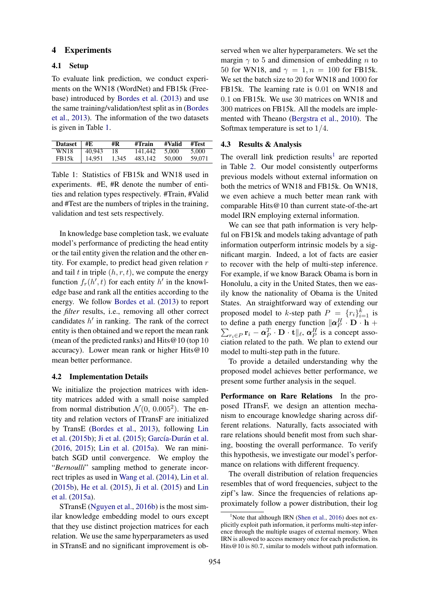### 4 Experiments

#### 4.1 Setup

To evaluate link prediction, we conduct experiments on the WN18 (WordNet) and FB15k (Freebase) introduced by Bordes et al. (2013) and use the same training/validation/test split as in (Bordes et al., 2013). The information of the two datasets is given in Table 1.

| Dataset $#E$       |        | #R    | #Train  | #Valid | #Test  |
|--------------------|--------|-------|---------|--------|--------|
| WN18               | 40.943 | 18    | 141.442 | 5.000  | 5.000  |
| FB <sub>15</sub> k | 14,951 | 1.345 | 483.142 | 50,000 | 59,071 |

Table 1: Statistics of FB15k and WN18 used in experiments. #E, #R denote the number of entities and relation types respectively. #Train, #Valid and #Test are the numbers of triples in the training, validation and test sets respectively.

In knowledge base completion task, we evaluate model's performance of predicting the head entity or the tail entity given the relation and the other entity. For example, to predict head given relation  $r$ and tail t in triple  $(h, r, t)$ , we compute the energy function  $f_r(h', t)$  for each entity  $h'$  in the knowledge base and rank all the entities according to the energy. We follow Bordes et al. (2013) to report the *filter* results, i.e., removing all other correct candidates  $h'$  in ranking. The rank of the correct entity is then obtained and we report the mean rank (mean of the predicted ranks) and Hits  $@10$  (top 10 accuracy). Lower mean rank or higher Hits@10 mean better performance.

#### 4.2 Implementation Details

We initialize the projection matrices with identity matrices added with a small noise sampled from normal distribution  $\mathcal{N}(0, 0.005^2)$ . The entity and relation vectors of ITransF are initialized by TransE (Bordes et al., 2013), following Lin et al. (2015b); Ji et al. (2015); García-Durán et al. (2016, 2015); Lin et al. (2015a). We ran minibatch SGD until convergence. We employ the "*Bernoulli*" sampling method to generate incorrect triples as used in Wang et al. (2014), Lin et al. (2015b), He et al. (2015), Ji et al. (2015) and Lin et al. (2015a).

STransE (Nguyen et al., 2016b) is the most similar knowledge embedding model to ours except that they use distinct projection matrices for each relation. We use the same hyperparameters as used in STransE and no significant improvement is observed when we alter hyperparameters. We set the margin  $\gamma$  to 5 and dimension of embedding n to 50 for WN18, and  $\gamma = 1, n = 100$  for FB15k. We set the batch size to 20 for WN18 and 1000 for FB15k. The learning rate is 0.01 on WN18 and 0.1 on FB15k. We use 30 matrices on WN18 and 300 matrices on FB15k. All the models are implemented with Theano (Bergstra et al., 2010). The Softmax temperature is set to 1/4.

# 4.3 Results & Analysis

The overall link prediction results<sup>1</sup> are reported in Table 2. Our model consistently outperforms previous models without external information on both the metrics of WN18 and FB15k. On WN18, we even achieve a much better mean rank with comparable Hits@10 than current state-of-the-art model IRN employing external information.

We can see that path information is very helpful on FB15k and models taking advantage of path information outperform intrinsic models by a significant margin. Indeed, a lot of facts are easier to recover with the help of multi-step inference. For example, if we know Barack Obama is born in Honolulu, a city in the United States, then we easily know the nationality of Obama is the United States. An straightforward way of extending our proposed model to k-step path  $P = \{r_i\}_{i=1}^k$  is to define a path energy function  $\|\boldsymbol{\alpha}_P^H \cdot \mathbf{D} \cdot \mathbf{h} + \sum_{P \in \mathcal{P}} \mathbf{r}_P \cdot \boldsymbol{\alpha}_P^T \cdot \mathbf{D} \cdot \mathbf{t}\|_{\ell}, \boldsymbol{\alpha}_P^H$  is a concept asso $r_i \in P$   $\mathbf{r}_i - \boldsymbol{\alpha}_P^T \cdot \mathbf{D} \cdot \mathbf{t} \parallel_{\ell}, \, \boldsymbol{\alpha}_P^H$  is a concept association related to the path. We plan to extend our model to multi-step path in the future.

To provide a detailed understanding why the proposed model achieves better performance, we present some further analysis in the sequel.

Performance on Rare Relations In the proposed ITransF, we design an attention mechanism to encourage knowledge sharing across different relations. Naturally, facts associated with rare relations should benefit most from such sharing, boosting the overall performance. To verify this hypothesis, we investigate our model's performance on relations with different frequency.

The overall distribution of relation frequencies resembles that of word frequencies, subject to the zipf's law. Since the frequencies of relations approximately follow a power distribution, their log

<sup>&</sup>lt;sup>1</sup>Note that although IRN (Shen et al., 2016) does not explicitly exploit path information, it performs multi-step inference through the multiple usages of external memory. When IRN is allowed to access memory once for each prediction, its Hits@10 is 80.7, similar to models without path information.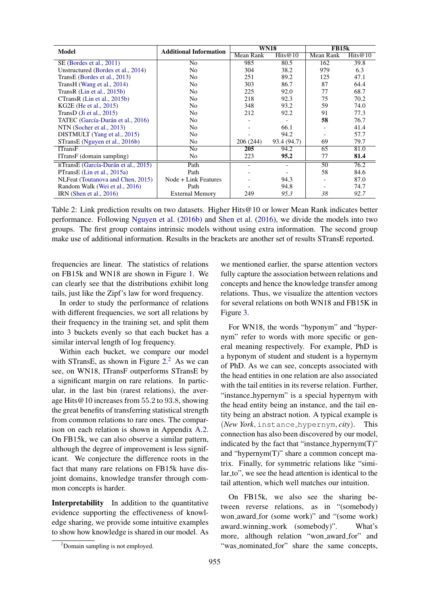| Model                               | <b>Additional Information</b> | <b>WN18</b> |             | <b>FB15k</b> |            |
|-------------------------------------|-------------------------------|-------------|-------------|--------------|------------|
|                                     |                               | Mean Rank   | Hits@10     | Mean Rank    | Hits $@10$ |
| SE (Bordes et al., 2011)            | N <sub>0</sub>                | 985         | 80.5        | 162          | 39.8       |
| Unstructured (Bordes et al., 2014)  | N <sub>0</sub>                | 304         | 38.2        | 979          | 6.3        |
| TransE (Bordes et al., 2013)        | N <sub>0</sub>                | 251         | 89.2        | 125          | 47.1       |
| TransH (Wang et al., 2014)          | N <sub>0</sub>                | 303         | 86.7        | 87           | 64.4       |
| TransR (Lin et al., 2015b)          | N <sub>0</sub>                | 225         | 92.0        | 77           | 68.7       |
| CTransR (Lin et al., 2015b)         | N <sub>0</sub>                | 218         | 92.3        | 75           | 70.2       |
| KG2E (He et al., 2015)              | N <sub>0</sub>                | 348         | 93.2        | 59           | 74.0       |
| TransD (Ji et al., $2015$ )         | N <sub>0</sub>                | 212         | 92.2        | 91           | 77.3       |
| TATEC (García-Durán et al., 2016)   | N <sub>0</sub>                |             |             | 58           | 76.7       |
| NTN (Socher et al., 2013)           | N <sub>0</sub>                |             | 66.1        |              | 41.4       |
| DISTMULT (Yang et al., 2015)        | N <sub>0</sub>                |             | 94.2        |              | 57.7       |
| STransE (Nguyen et al., 2016b)      | No                            | 206(244)    | 93.4 (94.7) | 69           | 79.7       |
| <b>ITransF</b>                      | N <sub>0</sub>                | <b>205</b>  | 94.2        | 65           | 81.0       |
| ITransF (domain sampling)           | N <sub>0</sub>                | 223         | 95.2        | 77           | 81.4       |
| RTransE (García-Durán et al., 2015) | Path                          |             |             | 50           | 76.2       |
| PTransE (Lin et al., 2015a)         | Path                          |             |             | 58           | 84.6       |
| NLFeat (Toutanova and Chen, 2015)   | Node + Link Features          |             | 94.3        |              | 87.0       |
| Random Walk (Wei et al., 2016)      | Path                          |             | 94.8        |              | 74.7       |
| IRN (Shen et al., $2016$ )          | <b>External Memory</b>        | 249         | 95.3        | 38           | 92.7       |

Table 2: Link prediction results on two datasets. Higher Hits@10 or lower Mean Rank indicates better performance. Following Nguyen et al. (2016b) and Shen et al. (2016), we divide the models into two groups. The first group contains intrinsic models without using extra information. The second group make use of additional information. Results in the brackets are another set of results STransE reported.

frequencies are linear. The statistics of relations on FB15k and WN18 are shown in Figure 1. We can clearly see that the distributions exhibit long tails, just like the Zipf's law for word frequency.

In order to study the performance of relations with different frequencies, we sort all relations by their frequency in the training set, and split them into 3 buckets evenly so that each bucket has a similar interval length of log frequency.

Within each bucket, we compare our model with STransE, as shown in Figure 2.<sup>2</sup> As we can see, on WN18, ITransF outperforms STransE by a significant margin on rare relations. In particular, in the last bin (rarest relations), the average Hits@10 increases from 55.2 to 93.8, showing the great benefits of transferring statistical strength from common relations to rare ones. The comparison on each relation is shown in Appendix A.2. On FB15k, we can also observe a similar pattern, although the degree of improvement is less significant. We conjecture the difference roots in the fact that many rare relations on FB15k have disjoint domains, knowledge transfer through common concepts is harder.

Interpretability In addition to the quantitative evidence supporting the effectiveness of knowledge sharing, we provide some intuitive examples to show how knowledge is shared in our model. As

we mentioned earlier, the sparse attention vectors fully capture the association between relations and concepts and hence the knowledge transfer among relations. Thus, we visualize the attention vectors for several relations on both WN18 and FB15K in Figure 3.

For WN18, the words "hyponym" and "hypernym" refer to words with more specific or general meaning respectively. For example, PhD is a hyponym of student and student is a hypernym of PhD. As we can see, concepts associated with the head entities in one relation are also associated with the tail entities in its reverse relation. Further, "instance hypernym" is a special hypernym with the head entity being an instance, and the tail entity being an abstract notion. A typical example is (*New York*, instance hypernym, *city*). This connection has also been discovered by our model, indicated by the fact that "instance\_hypernym(T)" and "hypernym(T)" share a common concept matrix. Finally, for symmetric relations like "similar\_to", we see the head attention is identical to the tail attention, which well matches our intuition.

On FB15k, we also see the sharing between reverse relations, as in "(somebody) won award for (some work)" and "(some work) award winning work (somebody)". What's more, although relation "won award for" and "was\_nominated\_for" share the same concepts,

<sup>&</sup>lt;sup>2</sup>Domain sampling is not employed.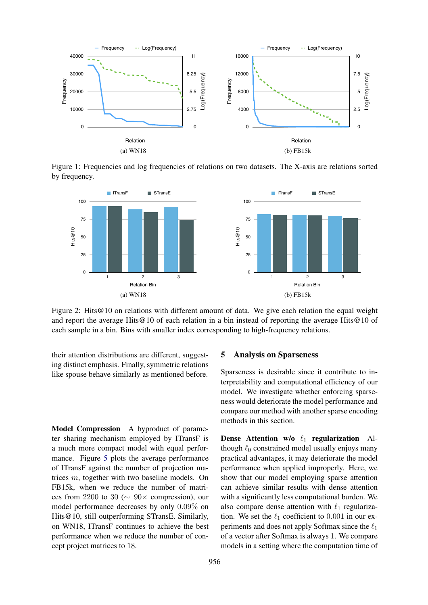

Figure 1: Frequencies and log frequencies of relations on two datasets. The X-axis are relations sorted by frequency.



Figure 2: Hits @10 on relations with different amount of data. We give each relation the equal weight and report the average Hits@10 of each relation in a bin instead of reporting the average Hits@10 of each sample in a bin. Bins with smaller index corresponding to high-frequency relations.

their attention distributions are different, suggesting distinct emphasis. Finally, symmetric relations like spouse behave similarly as mentioned before.

Model Compression A byproduct of parameter sharing mechanism employed by ITransF is a much more compact model with equal performance. Figure 5 plots the average performance of ITransF against the number of projection matrices m, together with two baseline models. On FB15k, when we reduce the number of matrices from 2200 to 30 ( $\sim$  90× compression), our model performance decreases by only 0.09% on Hits@10, still outperforming STransE. Similarly, on WN18, ITransF continues to achieve the best performance when we reduce the number of concept project matrices to 18.

### 5 Analysis on Sparseness

Sparseness is desirable since it contribute to interpretability and computational efficiency of our model. We investigate whether enforcing sparseness would deteriorate the model performance and compare our method with another sparse encoding methods in this section.

Dense Attention w/o  $\ell_1$  regularization Although  $\ell_0$  constrained model usually enjoys many practical advantages, it may deteriorate the model performance when applied improperly. Here, we show that our model employing sparse attention can achieve similar results with dense attention with a significantly less computational burden. We also compare dense attention with  $\ell_1$  regularization. We set the  $\ell_1$  coefficient to 0.001 in our experiments and does not apply Softmax since the  $\ell_1$ of a vector after Softmax is always 1. We compare models in a setting where the computation time of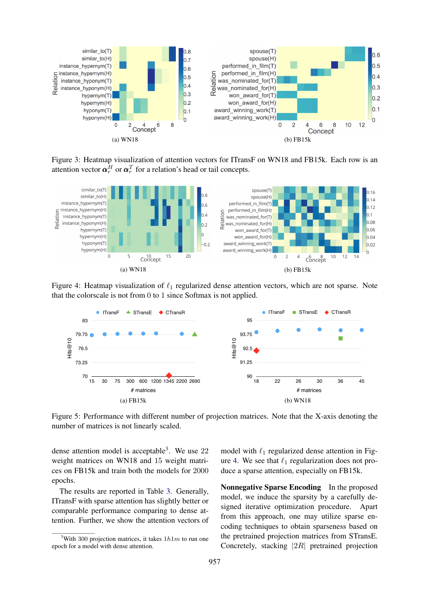

Figure 3: Heatmap visualization of attention vectors for ITransF on WN18 and FB15k. Each row is an attention vector  $\boldsymbol{\alpha}_r^H$  or  $\boldsymbol{\alpha}_r^T$  for a relation's head or tail concepts.



Figure 4: Heatmap visualization of  $\ell_1$  regularized dense attention vectors, which are not sparse. Note that the colorscale is not from 0 to 1 since Softmax is not applied.



Figure 5: Performance with different number of projection matrices. Note that the X-axis denoting the number of matrices is not linearly scaled.

dense attention model is acceptable<sup>3</sup>. We use  $22$ weight matrices on WN18 and 15 weight matrices on FB15k and train both the models for 2000 epochs.

The results are reported in Table 3. Generally, ITransF with sparse attention has slightly better or comparable performance comparing to dense attention. Further, we show the attention vectors of model with  $\ell_1$  regularized dense attention in Figure 4. We see that  $\ell_1$  regularization does not produce a sparse attention, especially on FB15k.

Nonnegative Sparse Encoding In the proposed model, we induce the sparsity by a carefully designed iterative optimization procedure. Apart from this approach, one may utilize sparse encoding techniques to obtain sparseness based on the pretrained projection matrices from STransE. Concretely, stacking |2R| pretrained projection

<sup>&</sup>lt;sup>3</sup>With 300 projection matrices, it takes  $1h1m$  to run one epoch for a model with dense attention.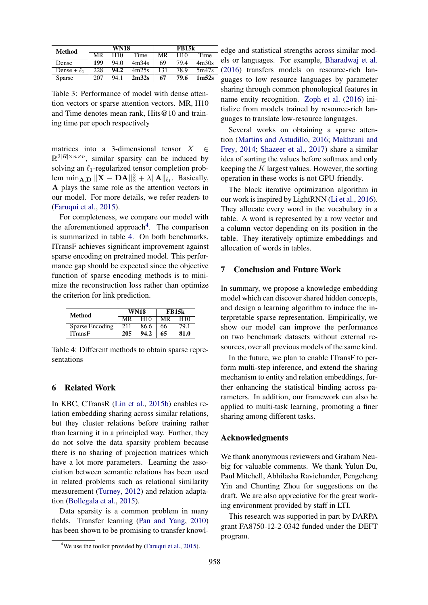| <b>Method</b>    |     | <b>WN18</b>     |       |     | <b>FB15k</b>    |                   |
|------------------|-----|-----------------|-------|-----|-----------------|-------------------|
|                  | MR  | H <sub>10</sub> | Time  | MR  | H <sub>10</sub> | Time              |
| Dense            | 199 | 94.0            | 4m34s | 69  | 79.4            | 4m30s             |
| Dense + $\ell_1$ | 228 | 94.2            | 4m25s | 131 | 78.9            | 5m47s             |
| Sparse           | 207 | 94.1            | 2m32s | 67  | 79.6            | 1 <sub>m52s</sub> |

Table 3: Performance of model with dense attention vectors or sparse attention vectors. MR, H10 and Time denotes mean rank, Hits@10 and training time per epoch respectively

matrices into a 3-dimensional tensor  $X \in \mathcal{C}$  $\mathbb{R}^{2|R| \times n \times n}$ , similar sparsity can be induced by solving an  $\ell_1$ -regularized tensor completion problem  $\min_{\mathbf{A}, \mathbf{D}} ||\mathbf{X} - \mathbf{D}\mathbf{A}||_2^2 + \lambda ||\mathbf{A}||_{\ell_1}$ . Basically, A plays the same role as the attention vectors in our model. For more details, we refer readers to (Faruqui et al., 2015).

For completeness, we compare our model with the aforementioned approach<sup>4</sup>. The comparison is summarized in table 4. On both benchmarks, ITransF achieves significant improvement against sparse encoding on pretrained model. This performance gap should be expected since the objective function of sparse encoding methods is to minimize the reconstruction loss rather than optimize the criterion for link prediction.

| Method          | <b>WN18</b> |      | <b>FB15k</b> |      |
|-----------------|-------------|------|--------------|------|
|                 | MR          | H10  | MR           | H10  |
| Sparse Encoding | 211         | 86.6 | 66           | 79.1 |
| ITransF         | 205         | 94.2 | 65           | 81.0 |

Table 4: Different methods to obtain sparse representations

# 6 Related Work

In KBC, CTransR (Lin et al., 2015b) enables relation embedding sharing across similar relations, but they cluster relations before training rather than learning it in a principled way. Further, they do not solve the data sparsity problem because there is no sharing of projection matrices which have a lot more parameters. Learning the association between semantic relations has been used in related problems such as relational similarity measurement (Turney, 2012) and relation adaptation (Bollegala et al., 2015).

Data sparsity is a common problem in many fields. Transfer learning (Pan and Yang, 2010) has been shown to be promising to transfer knowledge and statistical strengths across similar models or languages. For example, Bharadwaj et al. (2016) transfers models on resource-rich languages to low resource languages by parameter sharing through common phonological features in name entity recognition. Zoph et al. (2016) initialize from models trained by resource-rich languages to translate low-resource languages.

Several works on obtaining a sparse attention (Martins and Astudillo, 2016; Makhzani and Frey, 2014; Shazeer et al., 2017) share a similar idea of sorting the values before softmax and only keeping the  $K$  largest values. However, the sorting operation in these works is not GPU-friendly.

The block iterative optimization algorithm in our work is inspired by LightRNN (Li et al., 2016). They allocate every word in the vocabulary in a table. A word is represented by a row vector and a column vector depending on its position in the table. They iteratively optimize embeddings and allocation of words in tables.

### 7 Conclusion and Future Work

In summary, we propose a knowledge embedding model which can discover shared hidden concepts, and design a learning algorithm to induce the interpretable sparse representation. Empirically, we show our model can improve the performance on two benchmark datasets without external resources, over all previous models of the same kind.

In the future, we plan to enable ITransF to perform multi-step inference, and extend the sharing mechanism to entity and relation embeddings, further enhancing the statistical binding across parameters. In addition, our framework can also be applied to multi-task learning, promoting a finer sharing among different tasks.

### Acknowledgments

We thank anonymous reviewers and Graham Neubig for valuable comments. We thank Yulun Du, Paul Mitchell, Abhilasha Ravichander, Pengcheng Yin and Chunting Zhou for suggestions on the draft. We are also appreciative for the great working environment provided by staff in LTI.

This research was supported in part by DARPA grant FA8750-12-2-0342 funded under the DEFT program.

<sup>&</sup>lt;sup>4</sup>We use the toolkit provided by (Faruqui et al., 2015).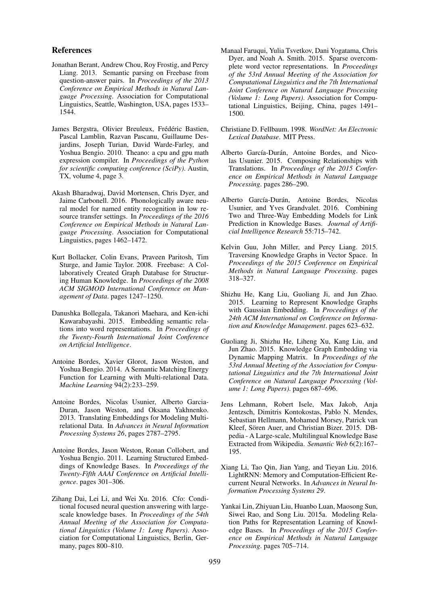### References

- Jonathan Berant, Andrew Chou, Roy Frostig, and Percy Liang. 2013. Semantic parsing on Freebase from question-answer pairs. In *Proceedings of the 2013 Conference on Empirical Methods in Natural Language Processing*. Association for Computational Linguistics, Seattle, Washington, USA, pages 1533– 1544.
- James Bergstra, Olivier Breuleux, Frédéric Bastien, Pascal Lamblin, Razvan Pascanu, Guillaume Desjardins, Joseph Turian, David Warde-Farley, and Yoshua Bengio. 2010. Theano: a cpu and gpu math expression compiler. In *Proceedings of the Python for scientific computing conference (SciPy)*. Austin, TX, volume 4, page 3.
- Akash Bharadwaj, David Mortensen, Chris Dyer, and Jaime Carbonell. 2016. Phonologically aware neural model for named entity recognition in low resource transfer settings. In *Proceedings of the 2016 Conference on Empirical Methods in Natural Language Processing*. Association for Computational Linguistics, pages 1462–1472.
- Kurt Bollacker, Colin Evans, Praveen Paritosh, Tim Sturge, and Jamie Taylor. 2008. Freebase: A Collaboratively Created Graph Database for Structuring Human Knowledge. In *Proceedings of the 2008 ACM SIGMOD International Conference on Management of Data*. pages 1247–1250.
- Danushka Bollegala, Takanori Maehara, and Ken-ichi Kawarabayashi. 2015. Embedding semantic relations into word representations. In *Proceedings of the Twenty-Fourth International Joint Conference on Artificial Intelligence*.
- Antoine Bordes, Xavier Glorot, Jason Weston, and Yoshua Bengio. 2014. A Semantic Matching Energy Function for Learning with Multi-relational Data. *Machine Learning* 94(2):233–259.
- Antoine Bordes, Nicolas Usunier, Alberto Garcia-Duran, Jason Weston, and Oksana Yakhnenko. 2013. Translating Embeddings for Modeling Multirelational Data. In *Advances in Neural Information Processing Systems 26*, pages 2787–2795.
- Antoine Bordes, Jason Weston, Ronan Collobert, and Yoshua Bengio. 2011. Learning Structured Embeddings of Knowledge Bases. In *Proceedings of the Twenty-Fifth AAAI Conference on Artificial Intelligence*. pages 301–306.
- Zihang Dai, Lei Li, and Wei Xu. 2016. Cfo: Conditional focused neural question answering with largescale knowledge bases. In *Proceedings of the 54th Annual Meeting of the Association for Computational Linguistics (Volume 1: Long Papers)*. Association for Computational Linguistics, Berlin, Germany, pages 800–810.
- Manaal Faruqui, Yulia Tsvetkov, Dani Yogatama, Chris Dyer, and Noah A. Smith. 2015. Sparse overcomplete word vector representations. In *Proceedings of the 53rd Annual Meeting of the Association for Computational Linguistics and the 7th International Joint Conference on Natural Language Processing (Volume 1: Long Papers)*. Association for Computational Linguistics, Beijing, China, pages 1491– 1500.
- Christiane D. Fellbaum. 1998. *WordNet: An Electronic Lexical Database*. MIT Press.
- Alberto García-Durán, Antoine Bordes, and Nicolas Usunier. 2015. Composing Relationships with Translations. In *Proceedings of the 2015 Conference on Empirical Methods in Natural Language Processing*. pages 286–290.
- Alberto García-Durán, Antoine Bordes, Nicolas Usunier, and Yves Grandvalet. 2016. Combining Two and Three-Way Embedding Models for Link Prediction in Knowledge Bases. *Journal of Artificial Intelligence Research* 55:715–742.
- Kelvin Guu, John Miller, and Percy Liang. 2015. Traversing Knowledge Graphs in Vector Space. In *Proceedings of the 2015 Conference on Empirical Methods in Natural Language Processing*. pages 318–327.
- Shizhu He, Kang Liu, Guoliang Ji, and Jun Zhao. 2015. Learning to Represent Knowledge Graphs with Gaussian Embedding. In *Proceedings of the 24th ACM International on Conference on Information and Knowledge Management*. pages 623–632.
- Guoliang Ji, Shizhu He, Liheng Xu, Kang Liu, and Jun Zhao. 2015. Knowledge Graph Embedding via Dynamic Mapping Matrix. In *Proceedings of the 53rd Annual Meeting of the Association for Computational Linguistics and the 7th International Joint Conference on Natural Language Processing (Volume 1: Long Papers)*. pages 687–696.
- Jens Lehmann, Robert Isele, Max Jakob, Anja Jentzsch, Dimitris Kontokostas, Pablo N. Mendes, Sebastian Hellmann, Mohamed Morsey, Patrick van Kleef, Sören Auer, and Christian Bizer. 2015. DBpedia - A Large-scale, Multilingual Knowledge Base Extracted from Wikipedia. *Semantic Web* 6(2):167– 195.
- Xiang Li, Tao Qin, Jian Yang, and Tieyan Liu. 2016. LightRNN: Memory and Computation-Efficient Recurrent Neural Networks. In *Advances in Neural Information Processing Systems 29*.
- Yankai Lin, Zhiyuan Liu, Huanbo Luan, Maosong Sun, Siwei Rao, and Song Liu. 2015a. Modeling Relation Paths for Representation Learning of Knowledge Bases. In *Proceedings of the 2015 Conference on Empirical Methods in Natural Language Processing*. pages 705–714.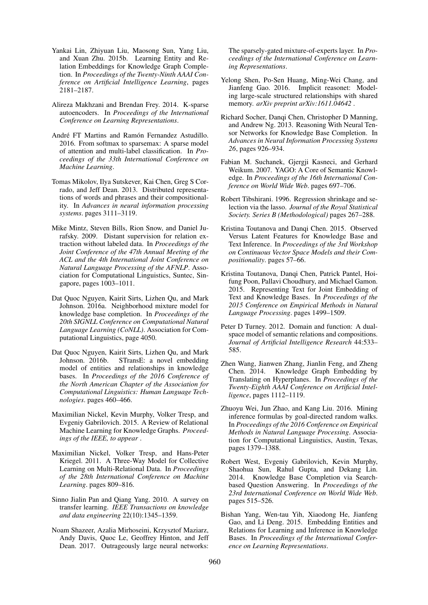- Yankai Lin, Zhiyuan Liu, Maosong Sun, Yang Liu, and Xuan Zhu. 2015b. Learning Entity and Relation Embeddings for Knowledge Graph Completion. In *Proceedings of the Twenty-Ninth AAAI Conference on Artificial Intelligence Learning*, pages 2181–2187.
- Alireza Makhzani and Brendan Frey. 2014. K-sparse autoencoders. In *Proceedings of the International Conference on Learning Representations*.
- André FT Martins and Ramón Fernandez Astudillo. 2016. From softmax to sparsemax: A sparse model of attention and multi-label classification. In *Proceedings of the 33th International Conference on Machine Learning*.
- Tomas Mikolov, Ilya Sutskever, Kai Chen, Greg S Corrado, and Jeff Dean. 2013. Distributed representations of words and phrases and their compositionality. In *Advances in neural information processing systems*. pages 3111–3119.
- Mike Mintz, Steven Bills, Rion Snow, and Daniel Jurafsky. 2009. Distant supervision for relation extraction without labeled data. In *Proceedings of the Joint Conference of the 47th Annual Meeting of the ACL and the 4th International Joint Conference on Natural Language Processing of the AFNLP*. Association for Computational Linguistics, Suntec, Singapore, pages 1003–1011.
- Dat Quoc Nguyen, Kairit Sirts, Lizhen Qu, and Mark Johnson. 2016a. Neighborhood mixture model for knowledge base completion. In *Proceedings of the 20th SIGNLL Conference on Computational Natural Language Learning (CoNLL)*. Association for Computational Linguistics, page 4050.
- Dat Quoc Nguyen, Kairit Sirts, Lizhen Qu, and Mark Johnson. 2016b. STransE: a novel embedding model of entities and relationships in knowledge bases. In *Proceedings of the 2016 Conference of the North American Chapter of the Association for Computational Linguistics: Human Language Technologies*. pages 460–466.
- Maximilian Nickel, Kevin Murphy, Volker Tresp, and Evgeniy Gabrilovich. 2015. A Review of Relational Machine Learning for Knowledge Graphs. *Proceedings of the IEEE, to appear* .
- Maximilian Nickel, Volker Tresp, and Hans-Peter Kriegel. 2011. A Three-Way Model for Collective Learning on Multi-Relational Data. In *Proceedings of the 28th International Conference on Machine Learning*. pages 809–816.
- Sinno Jialin Pan and Qiang Yang. 2010. A survey on transfer learning. *IEEE Transactions on knowledge and data engineering* 22(10):1345–1359.
- Noam Shazeer, Azalia Mirhoseini, Krzysztof Maziarz, Andy Davis, Quoc Le, Geoffrey Hinton, and Jeff Dean. 2017. Outrageously large neural networks:

The sparsely-gated mixture-of-experts layer. In *Proceedings of the International Conference on Learning Representations*.

- Yelong Shen, Po-Sen Huang, Ming-Wei Chang, and Jianfeng Gao. 2016. Implicit reasonet: Modeling large-scale structured relationships with shared memory. *arXiv preprint arXiv:1611.04642* .
- Richard Socher, Danqi Chen, Christopher D Manning, and Andrew Ng. 2013. Reasoning With Neural Tensor Networks for Knowledge Base Completion. In *Advances in Neural Information Processing Systems 26*, pages 926–934.
- Fabian M. Suchanek, Gjergji Kasneci, and Gerhard Weikum. 2007. YAGO: A Core of Semantic Knowledge. In *Proceedings of the 16th International Conference on World Wide Web*. pages 697–706.
- Robert Tibshirani. 1996. Regression shrinkage and selection via the lasso. *Journal of the Royal Statistical Society. Series B (Methodological)* pages 267–288.
- Kristina Toutanova and Danqi Chen. 2015. Observed Versus Latent Features for Knowledge Base and Text Inference. In *Proceedings of the 3rd Workshop on Continuous Vector Space Models and their Compositionality*. pages 57–66.
- Kristina Toutanova, Danqi Chen, Patrick Pantel, Hoifung Poon, Pallavi Choudhury, and Michael Gamon. 2015. Representing Text for Joint Embedding of Text and Knowledge Bases. In *Proceedings of the 2015 Conference on Empirical Methods in Natural Language Processing*. pages 1499–1509.
- Peter D Turney. 2012. Domain and function: A dualspace model of semantic relations and compositions. *Journal of Artificial Intelligence Research* 44:533– 585.
- Zhen Wang, Jianwen Zhang, Jianlin Feng, and Zheng Chen. 2014. Knowledge Graph Embedding by Translating on Hyperplanes. In *Proceedings of the Twenty-Eighth AAAI Conference on Artificial Intelligence*, pages 1112–1119.
- Zhuoyu Wei, Jun Zhao, and Kang Liu. 2016. Mining inference formulas by goal-directed random walks. In *Proceedings of the 2016 Conference on Empirical Methods in Natural Language Processing*. Association for Computational Linguistics, Austin, Texas, pages 1379–1388.
- Robert West, Evgeniy Gabrilovich, Kevin Murphy, Shaohua Sun, Rahul Gupta, and Dekang Lin. 2014. Knowledge Base Completion via Searchbased Question Answering. In *Proceedings of the 23rd International Conference on World Wide Web*. pages 515–526.
- Bishan Yang, Wen-tau Yih, Xiaodong He, Jianfeng Gao, and Li Deng. 2015. Embedding Entities and Relations for Learning and Inference in Knowledge Bases. In *Proceedings of the International Conference on Learning Representations*.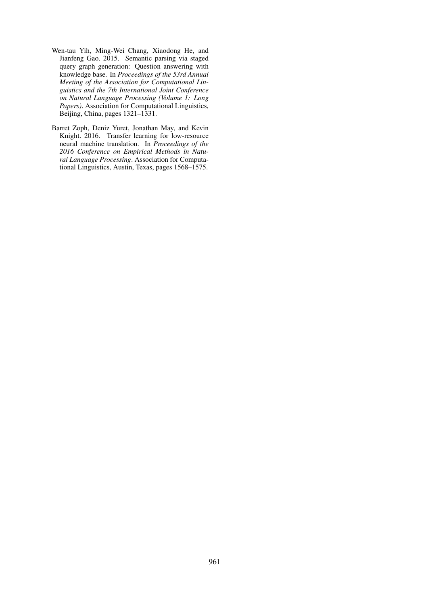- Wen-tau Yih, Ming-Wei Chang, Xiaodong He, and Jianfeng Gao. 2015. Semantic parsing via staged query graph generation: Question answering with knowledge base. In *Proceedings of the 53rd Annual Meeting of the Association for Computational Linguistics and the 7th International Joint Conference on Natural Language Processing (Volume 1: Long Papers)*. Association for Computational Linguistics, Beijing, China, pages 1321–1331.
- Barret Zoph, Deniz Yuret, Jonathan May, and Kevin Knight. 2016. Transfer learning for low-resource neural machine translation. In *Proceedings of the 2016 Conference on Empirical Methods in Natural Language Processing*. Association for Computational Linguistics, Austin, Texas, pages 1568–1575.